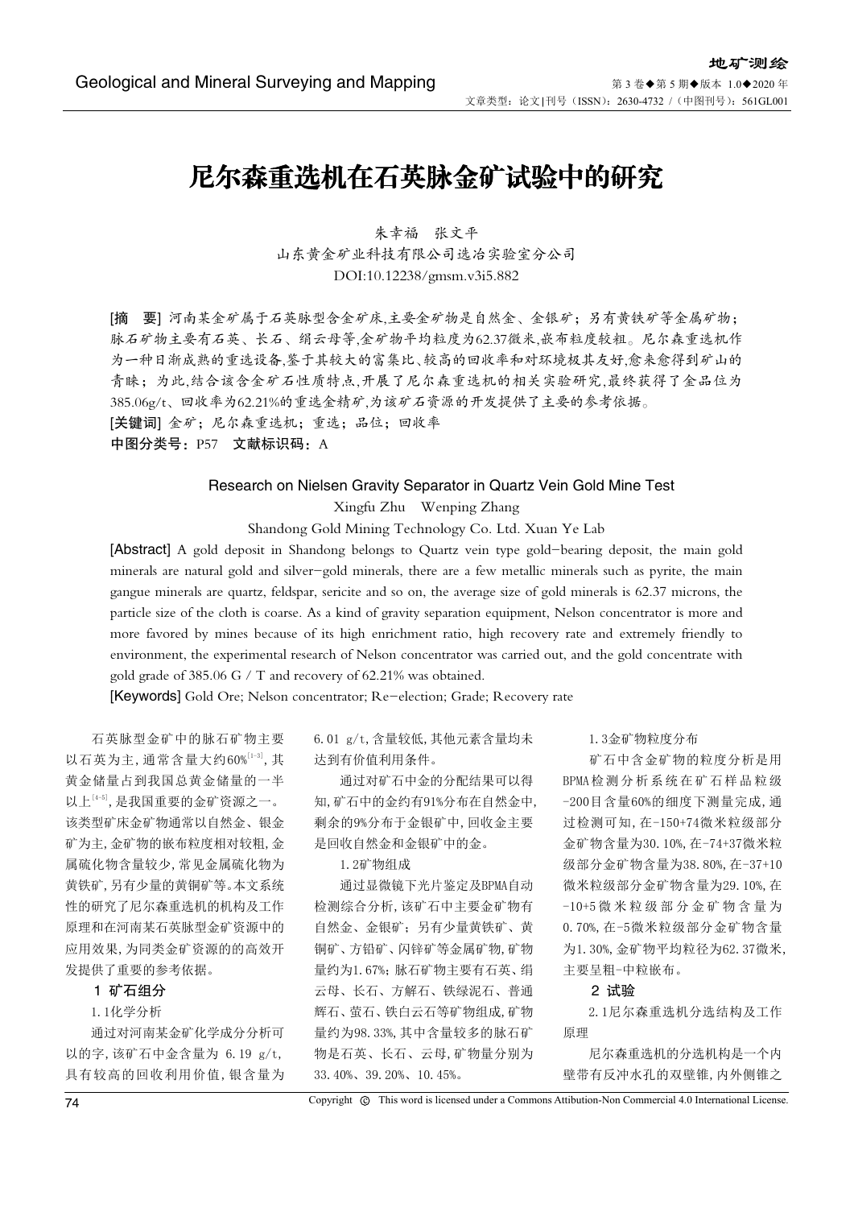# 尼尔森重选机在石英脉金矿试验中的研究

朱幸福 张文平 山东黄金矿业科技有限公司选冶实验室分公司 DOI:10.12238/gmsm.v3i5.882

[摘 要] 河南某金矿属于石英脉型含金矿床,主要金矿物是自然金、金银矿;另有黄铁矿等金属矿物; 脉石矿物主要有石英、长石、绢云母等,金矿物平均粒度为62.37微米,嵌布粒度较粗。尼尔森重选机作 为一种日渐成熟的重选设备,鉴于其较大的富集比、较高的回收率和对环境极其友好,愈来愈得到矿山的 青睐;为此,结合该含金矿石性质特点,开展了尼尔森重选机的相关实验研究,最终获得了金品位为 385.06g/t、回收率为62.21%的重选金精矿,为该矿石资源的开发提供了主要的参考依据。 [关键词] 金矿;尼尔森重选机;重选;品位;回收率

中图分类号: P57 文献标识码: A

# Research on Nielsen Gravity Separator in Quartz Vein Gold Mine Test

Xingfu Zhu Wenping Zhang

Shandong Gold Mining Technology Co. Ltd. Xuan Ye Lab

[Abstract] A gold deposit in Shandong belongs to Quartz vein type gold-bearing deposit, the main gold minerals are natural gold and silver-gold minerals, there are a few metallic minerals such as pyrite, the main gangue minerals are quartz, feldspar, sericite and so on, the average size of gold minerals is 62.37 microns, the particle size of the cloth is coarse. As a kind of gravity separation equipment, Nelson concentrator is more and more favored by mines because of its high enrichment ratio, high recovery rate and extremely friendly to environment, the experimental research of Nelson concentrator was carried out, and the gold concentrate with gold grade of 385.06 G / T and recovery of 62.21% was obtained.

[Keywords] Gold Ore; Nelson concentrator; Re-election; Grade; Recovery rate

石英脉型金矿中的脉石矿物主要 以石英为主,通常含量大约60%[1-3],其 黄金储量占到我国总黄金储量的一半 以上[4-5],是我国重要的金矿资源之一。 该类型矿床金矿物通常以自然金、银金 矿为主,金矿物的嵌布粒度相对较粗,金 属硫化物含量较少,常见金属硫化物为 黄铁矿,另有少量的黄铜矿等。本文系统 性的研究了尼尔森重选机的机构及工作 原理和在河南某石英脉型金矿资源中的 应用效果,为同类金矿资源的的高效开 发提供了重要的参考依据。

#### 1 矿石组分

# 1.1化学分析

通过对河南某金矿化学成分分析可 以的字,该矿石中金含量为 6.19 g/t, 具有较高的回收利用价值,银含量为 6.01 g/t,含量较低,其他元素含量均未 达到有价值利用条件。

通过对矿石中金的分配结果可以得 知,矿石中的金约有91%分布在自然金中, 剩余的9%分布于金银矿中,回收金主要 是回收自然金和金银矿中的金。

#### 1.2矿物组成

通过显微镜下光片鉴定及BPMA自动 检测综合分析,该矿石中主要金矿物有 自然金、金银矿;另有少量黄铁矿、黄 铜矿、方铅矿、闪锌矿等金属矿物,矿物 量约为1.67%;脉石矿物主要有石英、绢 云母、长石、方解石、铁绿泥石、普通 辉石、萤石、铁白云石等矿物组成,矿物 量约为98.33%,其中含量较多的脉石矿 物是石英、长石、云母,矿物量分别为 33.40%、39.20%、10.45%。

1.3金矿物粒度分布

矿石中含金矿物的粒度分析是用 BPMA检测分析系统在矿石样品粒级 -200目含量60%的细度下测量完成,通 过检测可知,在-150+74微米粒级部分 金矿物含量为30.10%,在-74+37微米粒 级部分金矿物含量为38.80%,在-37+10 微米粒级部分金矿物含量为29.10%,在 -10+5 微 米 粒 级 部 分 金 矿 物 含 量 为 0.70%,在-5微米粒级部分金矿物含量 为1.30%,金矿物平均粒径为62.37微米, 主要呈粗-中粒嵌布。

#### 2 试验

2.1尼尔森重选机分选结构及工作 原理

尼尔森重选机的分选机构是一个内 壁带有反冲水孔的双壁锥,内外侧锥之